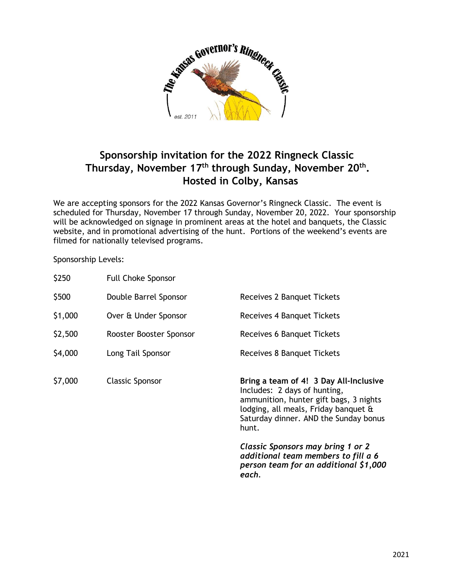

## **Sponsorship invitation for the 2022 Ringneck Classic Thursday, November 17 th through Sunday, November 20 th . Hosted in Colby, Kansas**

We are accepting sponsors for the 2022 Kansas Governor's Ringneck Classic. The event is scheduled for Thursday, November 17 through Sunday, November 20, 2022. Your sponsorship will be acknowledged on signage in prominent areas at the hotel and banquets, the Classic website, and in promotional advertising of the hunt. Portions of the weekend's events are filmed for nationally televised programs.

Sponsorship Levels:

| \$250   | <b>Full Choke Sponsor</b> |                                                                                                                                                                                                            |
|---------|---------------------------|------------------------------------------------------------------------------------------------------------------------------------------------------------------------------------------------------------|
| \$500   | Double Barrel Sponsor     | Receives 2 Banquet Tickets                                                                                                                                                                                 |
| \$1,000 | Over & Under Sponsor      | Receives 4 Banquet Tickets                                                                                                                                                                                 |
| \$2,500 | Rooster Booster Sponsor   | Receives 6 Banquet Tickets                                                                                                                                                                                 |
| \$4,000 | Long Tail Sponsor         | Receives 8 Banquet Tickets                                                                                                                                                                                 |
| \$7,000 | <b>Classic Sponsor</b>    | Bring a team of 4! 3 Day All-Inclusive<br>Includes: 2 days of hunting,<br>ammunition, hunter gift bags, 3 nights<br>lodging, all meals, Friday banquet &<br>Saturday dinner. AND the Sunday bonus<br>hunt. |
|         |                           | Classic Sponsors may bring 1 or 2<br>additional team members to fill a 6<br>person team for an additional \$1,000                                                                                          |

*each.*